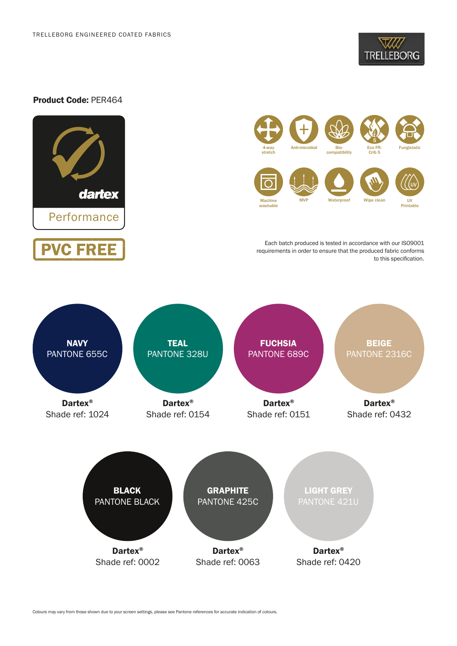

# Product Code: PER464





Each batch produced is tested in accordance with our ISO9001 requirements in order to ensure that the produced fabric conforms to this specification.